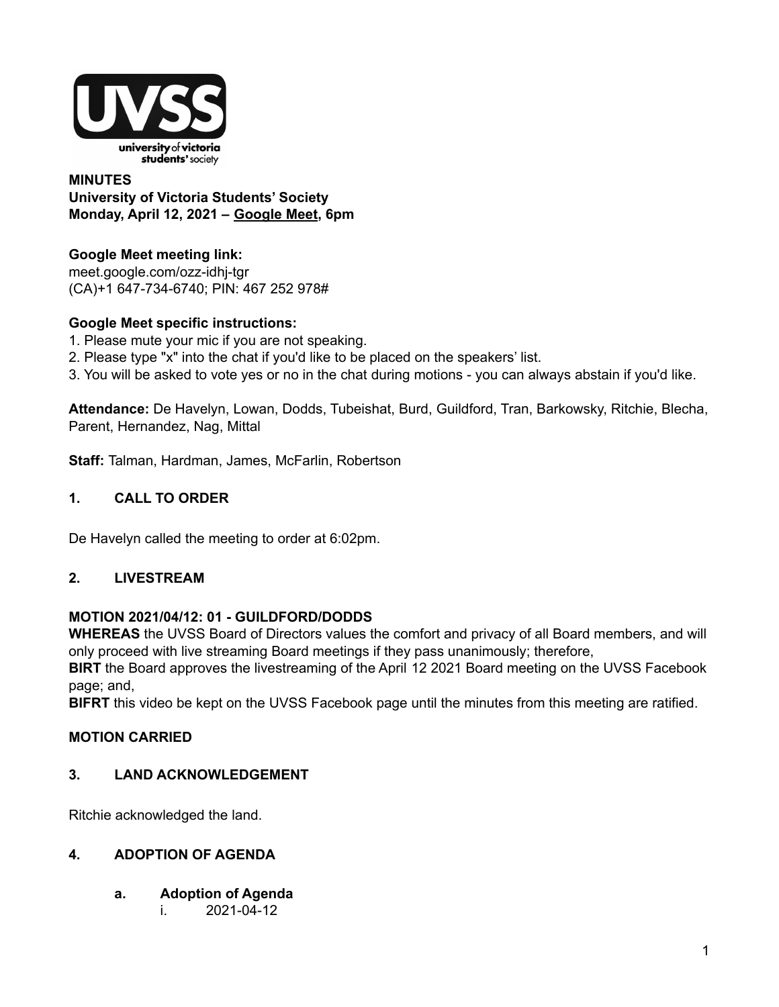

## **MINUTES University of Victoria Students' Society Monday, April 12, 2021 – Google Meet, 6pm**

# **Google Meet meeting link:**

meet.google.com/ozz-idhj-tgr (CA)+1 647-734-6740; PIN: 467 252 978#

# **Google Meet specific instructions:**

- 1. Please mute your mic if you are not speaking.
- 2. Please type "x" into the chat if you'd like to be placed on the speakers' list.
- 3. You will be asked to vote yes or no in the chat during motions you can always abstain if you'd like.

**Attendance:** De Havelyn, Lowan, Dodds, Tubeishat, Burd, Guildford, Tran, Barkowsky, Ritchie, Blecha, Parent, Hernandez, Nag, Mittal

**Staff:** Talman, Hardman, James, McFarlin, Robertson

# **1. CALL TO ORDER**

De Havelyn called the meeting to order at 6:02pm.

## **2. LIVESTREAM**

## **MOTION 2021/04/12: 01 - GUILDFORD/DODDS**

**WHEREAS** the UVSS Board of Directors values the comfort and privacy of all Board members, and will only proceed with live streaming Board meetings if they pass unanimously; therefore,

**BIRT** the Board approves the livestreaming of the April 12 2021 Board meeting on the UVSS Facebook page; and,

**BIFRT** this video be kept on the UVSS Facebook page until the minutes from this meeting are ratified.

## **MOTION CARRIED**

## **3. LAND ACKNOWLEDGEMENT**

Ritchie acknowledged the land.

## **4. ADOPTION OF AGENDA**

- **a. Adoption of Agenda**
	- i. 2021-04-12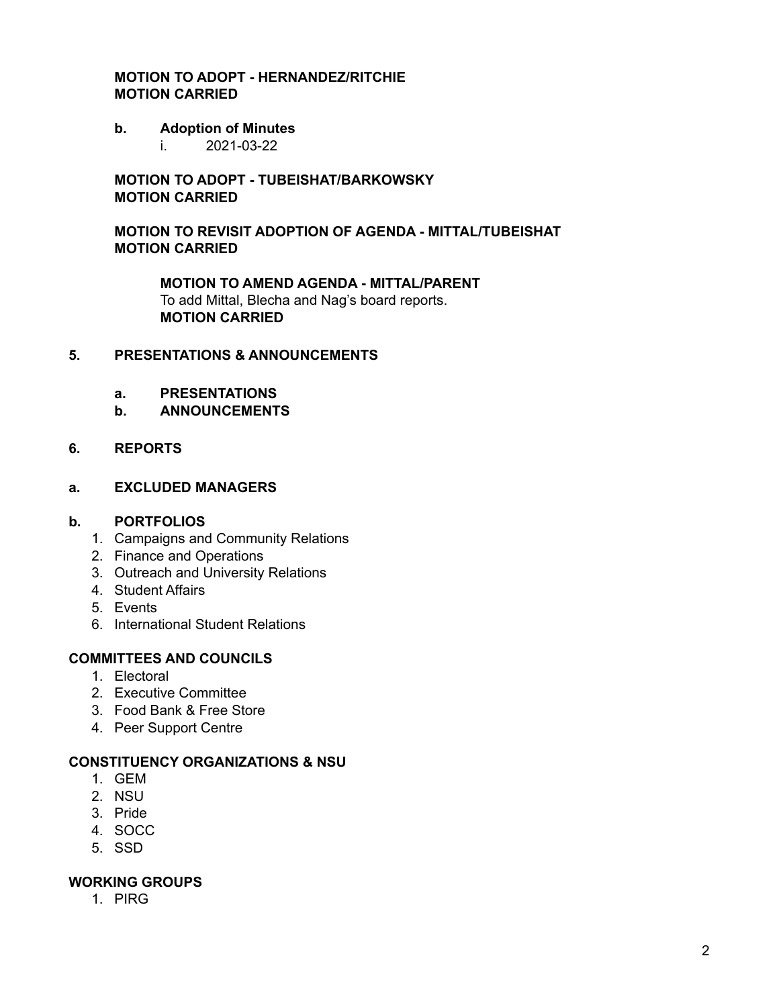## **MOTION TO ADOPT - HERNANDEZ/RITCHIE MOTION CARRIED**

#### **b. Adoption of Minutes**

i. 2021-03-22

## **MOTION TO ADOPT - TUBEISHAT/BARKOWSKY MOTION CARRIED**

## **MOTION TO REVISIT ADOPTION OF AGENDA - MITTAL/TUBEISHAT MOTION CARRIED**

**MOTION TO AMEND AGENDA - MITTAL/PARENT** To add Mittal, Blecha and Nag's board reports. **MOTION CARRIED**

## **5. PRESENTATIONS & ANNOUNCEMENTS**

- **a. PRESENTATIONS**
- **b. ANNOUNCEMENTS**

#### **6. REPORTS**

#### **a. EXCLUDED MANAGERS**

#### **b. PORTFOLIOS**

- 1. Campaigns and Community Relations
- 2. Finance and Operations
- 3. Outreach and University Relations
- 4. Student Affairs
- 5. Events
- 6. International Student Relations

## **COMMITTEES AND COUNCILS**

- 1. Electoral
- 2. Executive Committee
- 3. Food Bank & Free Store
- 4. Peer Support Centre

#### **CONSTITUENCY ORGANIZATIONS & NSU**

- 1. GEM
- 2. NSU
- 3. Pride
- 4. SOCC
- 5. SSD

#### **WORKING GROUPS**

1. PIRG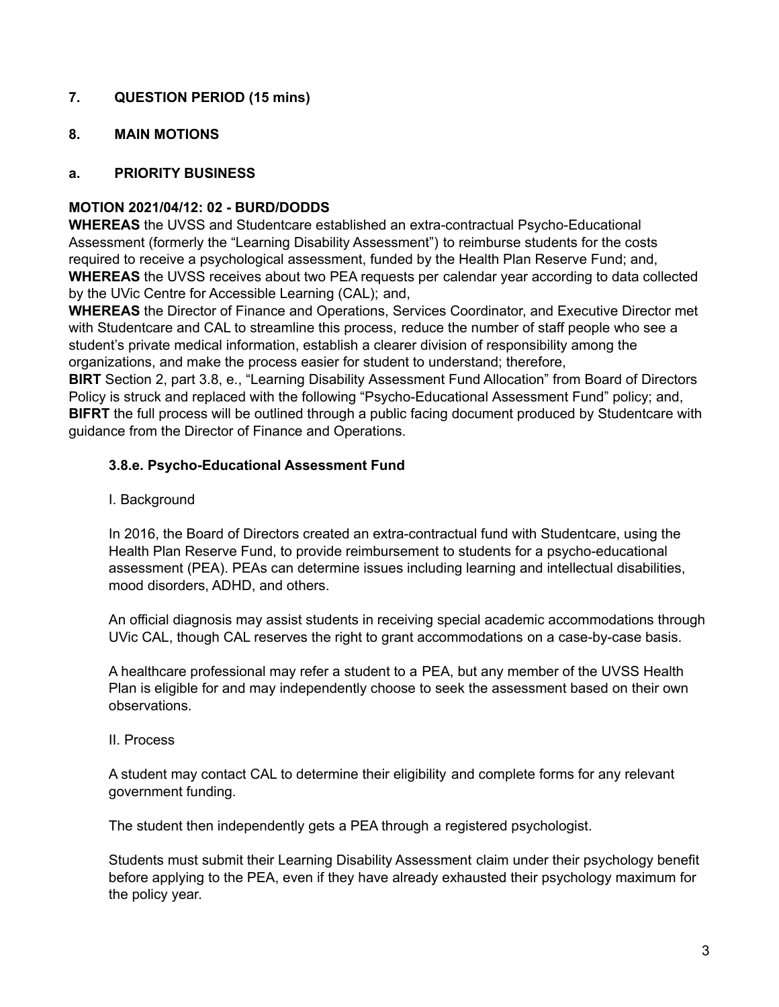# **7. QUESTION PERIOD (15 mins)**

## **8. MAIN MOTIONS**

## **a. PRIORITY BUSINESS**

## **MOTION 2021/04/12: 02 - BURD/DODDS**

**WHEREAS** the UVSS and Studentcare established an extra-contractual Psycho-Educational Assessment (formerly the "Learning Disability Assessment") to reimburse students for the costs required to receive a psychological assessment, funded by the Health Plan Reserve Fund; and, **WHEREAS** the UVSS receives about two PEA requests per calendar year according to data collected by the UVic Centre for Accessible Learning (CAL); and,

**WHEREAS** the Director of Finance and Operations, Services Coordinator, and Executive Director met with Studentcare and CAL to streamline this process, reduce the number of staff people who see a student's private medical information, establish a clearer division of responsibility among the organizations, and make the process easier for student to understand; therefore,

**BIRT** Section 2, part 3.8, e., "Learning Disability Assessment Fund Allocation" from Board of Directors Policy is struck and replaced with the following "Psycho-Educational Assessment Fund" policy; and, **BIFRT** the full process will be outlined through a public facing document produced by Studentcare with guidance from the Director of Finance and Operations.

## **3.8.e. Psycho-Educational Assessment Fund**

I. Background

In 2016, the Board of Directors created an extra-contractual fund with Studentcare, using the Health Plan Reserve Fund, to provide reimbursement to students for a psycho-educational assessment (PEA). PEAs can determine issues including learning and intellectual disabilities, mood disorders, ADHD, and others.

An official diagnosis may assist students in receiving special academic accommodations through UVic CAL, though CAL reserves the right to grant accommodations on a case-by-case basis.

A healthcare professional may refer a student to a PEA, but any member of the UVSS Health Plan is eligible for and may independently choose to seek the assessment based on their own observations.

II. Process

A student may contact CAL to determine their eligibility and complete forms for any relevant government funding.

The student then independently gets a PEA through a registered psychologist.

Students must submit their Learning Disability Assessment claim under their psychology benefit before applying to the PEA, even if they have already exhausted their psychology maximum for the policy year.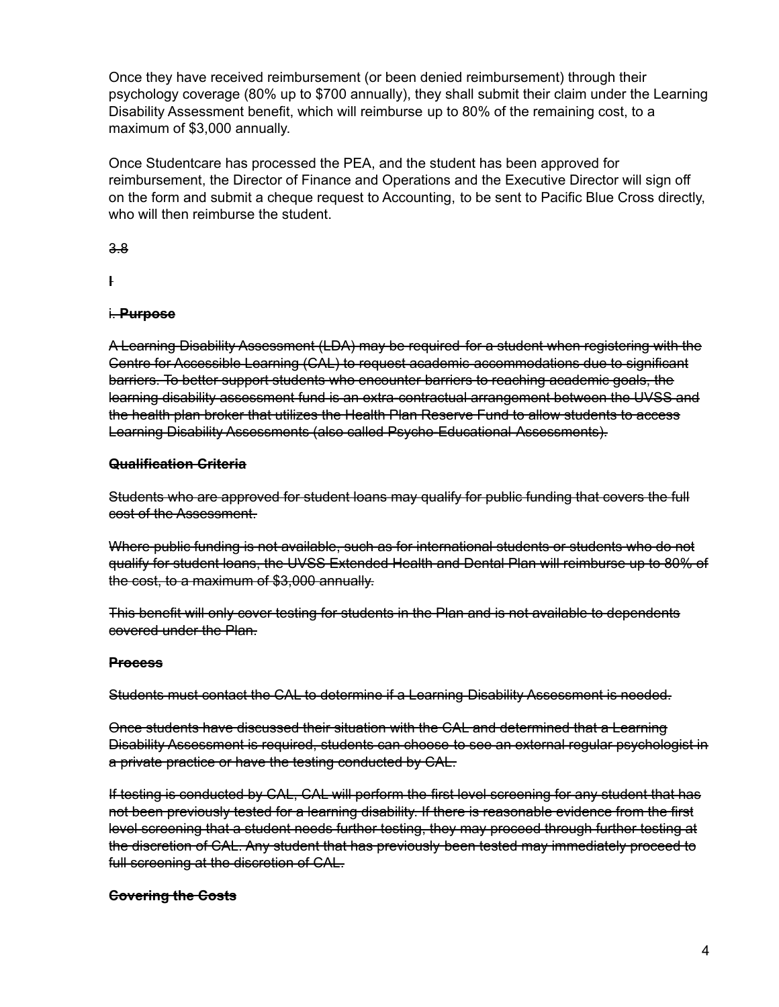Once they have received reimbursement (or been denied reimbursement) through their psychology coverage (80% up to \$700 annually), they shall submit their claim under the Learning Disability Assessment benefit, which will reimburse up to 80% of the remaining cost, to a maximum of \$3,000 annually.

Once Studentcare has processed the PEA, and the student has been approved for reimbursement, the Director of Finance and Operations and the Executive Director will sign off on the form and submit a cheque request to Accounting, to be sent to Pacific Blue Cross directly, who will then reimburse the student.

3.8

**l**

## i. **Purpose**

A Learning Disability Assessment (LDA) may be required for a student when registering with the Centre for Accessible Learning (CAL) to request academic accommodations due to significant barriers. To better support students who encounter barriers to reaching academic goals, the learning disability assessment fund is an extra-contractual arrangement between the UVSS and the health plan broker that utilizes the Health Plan Reserve Fund to allow students to access Learning Disability Assessments (also called Psycho-Educational Assessments).

## **Qualification Criteria**

Students who are approved for student loans may qualify for public funding that covers the full cost of the Assessment.

Where public funding is not available, such as for international students or students who do not qualify for student loans, the UVSS Extended Health and Dental Plan will reimburse up to 80% of the cost, to a maximum of \$3,000 annually.

This benefit will only cover testing for students in the Plan and is not available to dependents covered under the Plan.

## **Process**

Students must contact the CAL to determine if a Learning Disability Assessment is needed.

Once students have discussed their situation with the CAL and determined that a Learning Disability Assessment is required, students can choose to see an external regular psychologist in a private practice or have the testing conducted by CAL.

If testing is conducted by CAL, CAL will perform the first level screening for any student that has not been previously tested for a learning disability. If there is reasonable evidence from the first level screening that a student needs further testing, they may proceed through further testing at the discretion of CAL. Any student that has previously been tested may immediately proceed to full screening at the discretion of CAL.

## **Covering the Costs**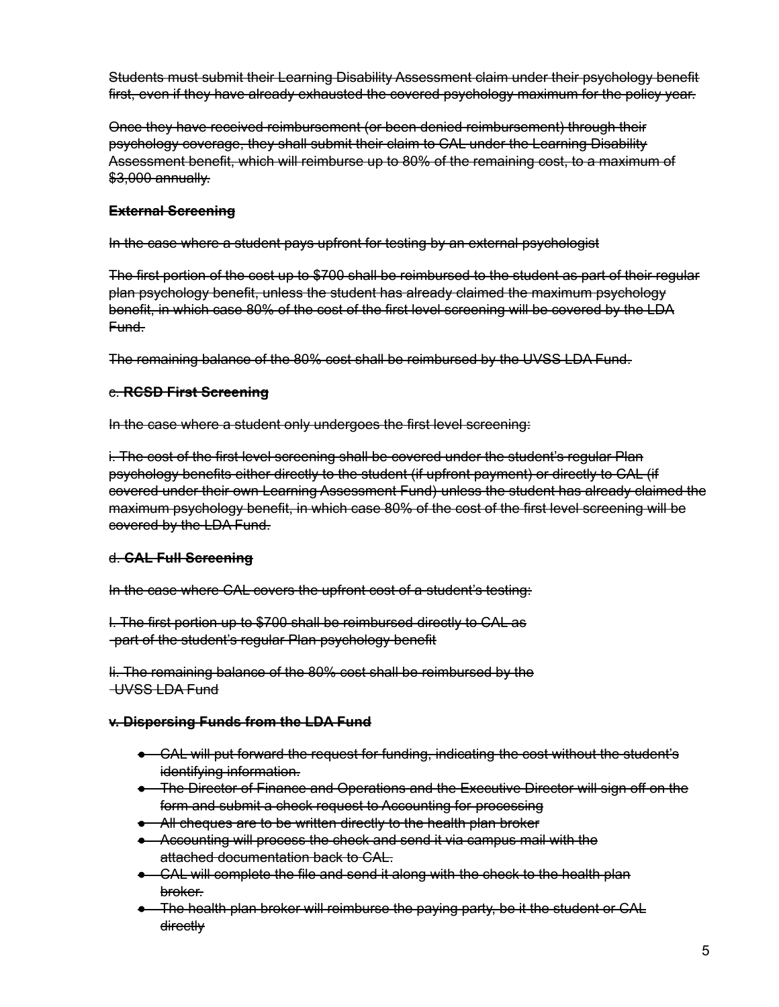Students must submit their Learning Disability Assessment claim under their psychology benefit first, even if they have already exhausted the covered psychology maximum for the policy year.

Once they have received reimbursement (or been denied reimbursement) through their psychology coverage, they shall submit their claim to CAL under the Learning Disability Assessment benefit, which will reimburse up to 80% of the remaining cost, to a maximum of \$3,000 annually.

## **External Screening**

In the case where a student pays upfront for testing by an external psychologist

The first portion of the cost up to \$700 shall be reimbursed to the student as part of their regular plan psychology benefit, unless the student has already claimed the maximum psychology benefit, in which case 80% of the cost of the first level screening will be covered by the LDA Fund.

The remaining balance of the 80% cost shall be reimbursed by the UVSS LDA Fund.

## c. **RCSD First Screening**

In the case where a student only undergoes the first level screening:

i. The cost of the first level screening shall be covered under the student's regular Plan psychology benefits either directly to the student (if upfront payment) or directly to CAL (if covered under their own Learning Assessment Fund) unless the student has already claimed the maximum psychology benefit, in which case 80% of the cost of the first level screening will be covered by the LDA Fund.

## d. **CAL Full Screening**

In the case where CAL covers the upfront cost of a student's testing:

I. The first portion up to \$700 shall be reimbursed directly to CAL as part of the student's regular Plan psychology benefit

Ii. The remaining balance of the 80% cost shall be reimbursed by the UVSS LDA Fund

## **v. Dispersing Funds from the LDA Fund**

- CAL will put forward the request for funding, indicating the cost without the student's identifying information.
- The Director of Finance and Operations and the Executive Director will sign off on the form and submit a check request to Accounting for processing
- All cheques are to be written directly to the health plan broker
- Accounting will process the check and send it via campus mail with the attached documentation back to CAL.
- CAL will complete the file and send it along with the check to the health plan broker.
- The health plan broker will reimburse the paying party, be it the student or CAL directly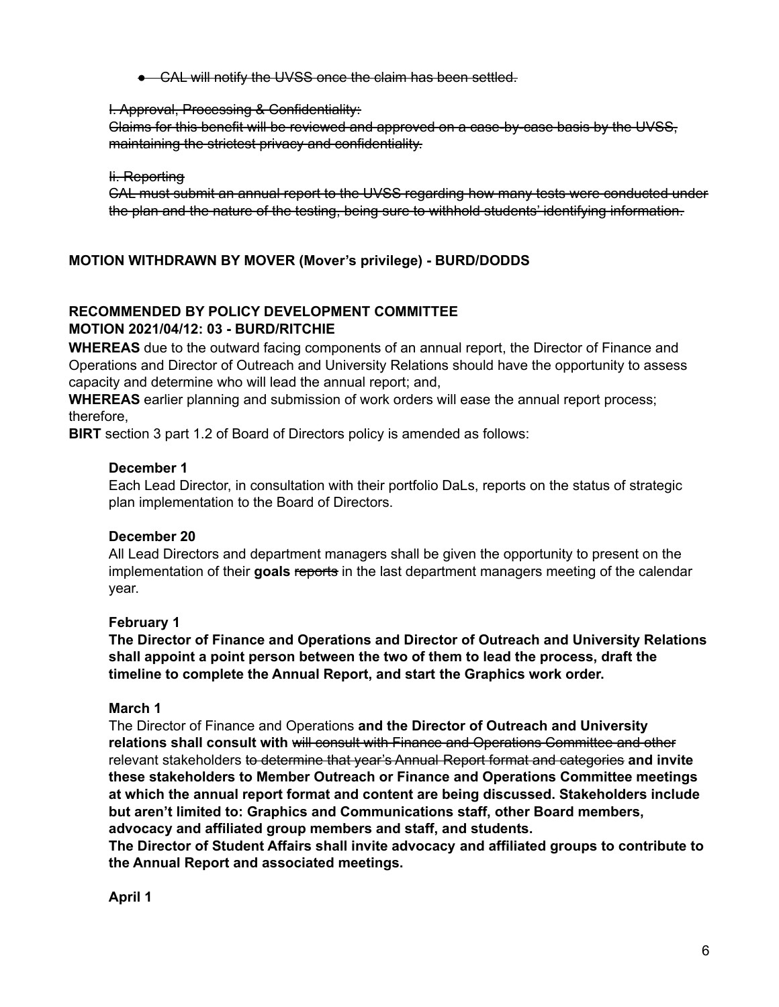● CAL will notify the UVSS once the claim has been settled.

#### I. Approval, Processing & Confidentiality:

Claims for this benefit will be reviewed and approved on a case-by-case basis by the UVSS, maintaining the strictest privacy and confidentiality.

#### Ii. Reporting

CAL must submit an annual report to the UVSS regarding how many tests were conducted under the plan and the nature of the testing, being sure to withhold students' identifying information.

## **MOTION WITHDRAWN BY MOVER (Mover's privilege) - BURD/DODDS**

## **RECOMMENDED BY POLICY DEVELOPMENT COMMITTEE MOTION 2021/04/12: 03 - BURD/RITCHIE**

**WHEREAS** due to the outward facing components of an annual report, the Director of Finance and Operations and Director of Outreach and University Relations should have the opportunity to assess capacity and determine who will lead the annual report; and,

**WHEREAS** earlier planning and submission of work orders will ease the annual report process; therefore,

**BIRT** section 3 part 1.2 of Board of Directors policy is amended as follows:

## **December 1**

Each Lead Director, in consultation with their portfolio DaLs, reports on the status of strategic plan implementation to the Board of Directors.

## **December 20**

All Lead Directors and department managers shall be given the opportunity to present on the implementation of their goals reports in the last department managers meeting of the calendar year.

## **February 1**

**The Director of Finance and Operations and Director of Outreach and University Relations shall appoint a point person between the two of them to lead the process, draft the timeline to complete the Annual Report, and start the Graphics work order.**

#### **March 1**

The Director of Finance and Operations **and the Director of Outreach and University relations shall consult with** will consult with Finance and Operations Committee and other relevant stakeholders to determine that year's Annual Report format and categories **and invite these stakeholders to Member Outreach or Finance and Operations Committee meetings at which the annual report format and content are being discussed. Stakeholders include but aren't limited to: Graphics and Communications staff, other Board members, advocacy and affiliated group members and staff, and students.**

**The Director of Student Affairs shall invite advocacy and affiliated groups to contribute to the Annual Report and associated meetings.**

**April 1**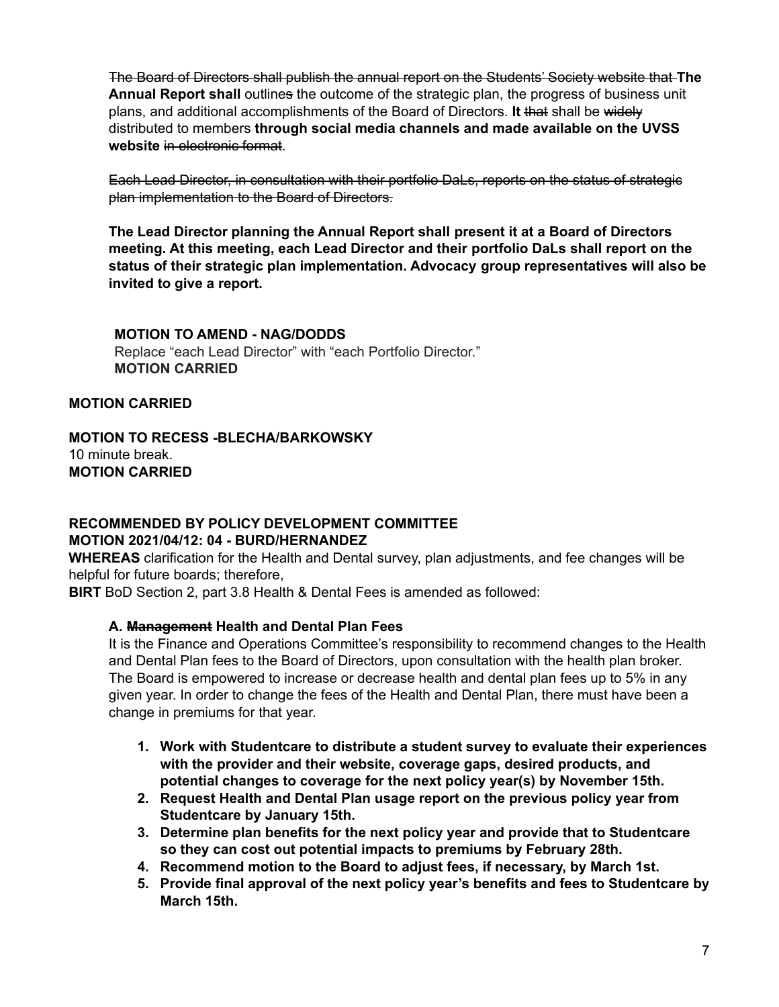The Board of Directors shall publish the annual report on the Students' Society website that **The Annual Report shall** outlines the outcome of the strategic plan, the progress of business unit plans, and additional accomplishments of the Board of Directors. **It** that shall be widely distributed to members **through social media channels and made available on the UVSS website** in electronic format.

Each Lead Director, in consultation with their portfolio DaLs, reports on the status of strategic plan implementation to the Board of Directors.

**The Lead Director planning the Annual Report shall present it at a Board of Directors meeting. At this meeting, each Lead Director and their portfolio DaLs shall report on the status of their strategic plan implementation. Advocacy group representatives will also be invited to give a report.**

#### **MOTION TO AMEND - NAG/DODDS**

Replace "each Lead Director" with "each Portfolio Director." **MOTION CARRIED**

## **MOTION CARRIED**

## **MOTION TO RECESS -BLECHA/BARKOWSKY** 10 minute break. **MOTION CARRIED**

#### **RECOMMENDED BY POLICY DEVELOPMENT COMMITTEE MOTION 2021/04/12: 04 - BURD/HERNANDEZ**

**WHEREAS** clarification for the Health and Dental survey, plan adjustments, and fee changes will be helpful for future boards; therefore,

**BIRT** BoD Section 2, part 3.8 Health & Dental Fees is amended as followed:

## **A. Management Health and Dental Plan Fees**

It is the Finance and Operations Committee's responsibility to recommend changes to the Health and Dental Plan fees to the Board of Directors, upon consultation with the health plan broker. The Board is empowered to increase or decrease health and dental plan fees up to 5% in any given year. In order to change the fees of the Health and Dental Plan, there must have been a change in premiums for that year.

- **1. Work with Studentcare to distribute a student survey to evaluate their experiences with the provider and their website, coverage gaps, desired products, and potential changes to coverage for the next policy year(s) by November 15th.**
- **2. Request Health and Dental Plan usage report on the previous policy year from Studentcare by January 15th.**
- **3. Determine plan benefits for the next policy year and provide that to Studentcare so they can cost out potential impacts to premiums by February 28th.**
- **4. Recommend motion to the Board to adjust fees, if necessary, by March 1st.**
- **5. Provide final approval of the next policy year's benefits and fees to Studentcare by March 15th.**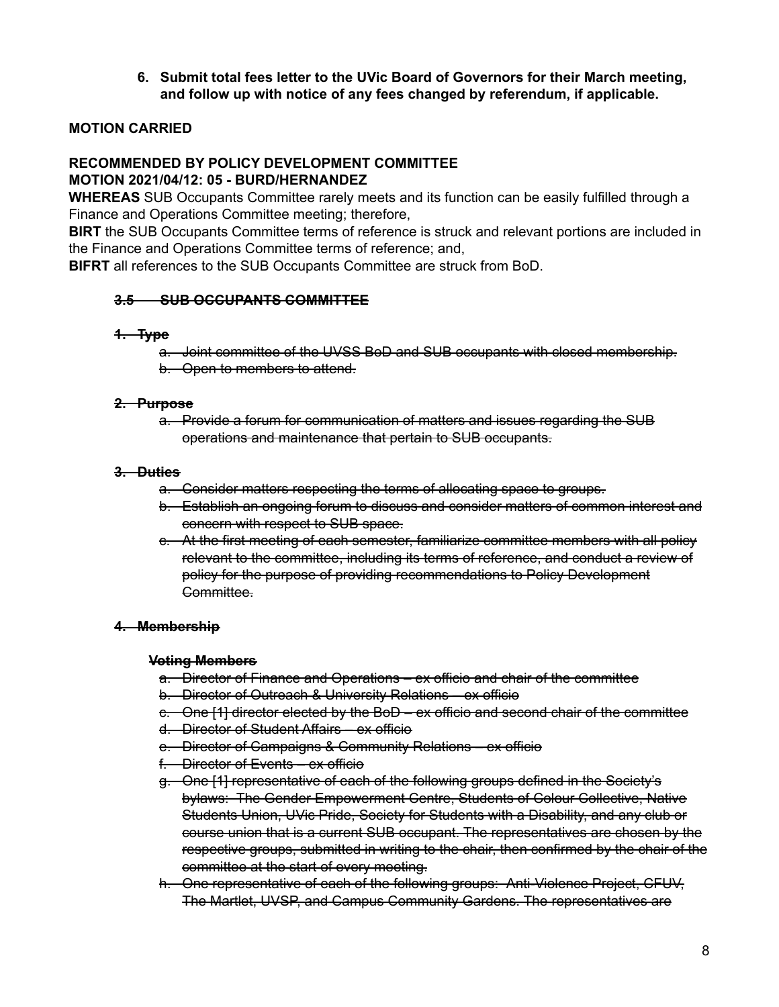**6. Submit total fees letter to the UVic Board of Governors for their March meeting, and follow up with notice of any fees changed by referendum, if applicable.**

## **MOTION CARRIED**

#### **RECOMMENDED BY POLICY DEVELOPMENT COMMITTEE MOTION 2021/04/12: 05 - BURD/HERNANDEZ**

**WHEREAS** SUB Occupants Committee rarely meets and its function can be easily fulfilled through a Finance and Operations Committee meeting; therefore,

**BIRT** the SUB Occupants Committee terms of reference is struck and relevant portions are included in the Finance and Operations Committee terms of reference; and,

**BIFRT** all references to the SUB Occupants Committee are struck from BoD.

## **3.5 SUB OCCUPANTS COMMITTEE**

#### **1. Type**

- a. Joint committee of the UVSS BoD and SUB occupants with closed membership.
- b. Open to members to attend.

#### **2. Purpose**

a. Provide a forum for communication of matters and issues regarding the SUB operations and maintenance that pertain to SUB occupants.

#### **3. Duties**

- a. Consider matters respecting the terms of allocating space to groups.
- b. Establish an ongoing forum to discuss and consider matters of common interest and concern with respect to SUB space.
- c. At the first meeting of each semester, familiarize committee members with all policy relevant to the committee, including its terms of reference, and conduct a review of policy for the purpose of providing recommendations to Policy Development Committee.

## **4. Membership**

## **Voting Members**

- a. Director of Finance and Operations ex officio and chair of the committee
- b. Director of Outreach & University Relations ex officio
- c. One [1] director elected by the BoD ex officio and second chair of the committee
- d. Director of Student Affairs ex officio
- e. Director of Campaigns & Community Relations ex officio
- f. Director of Events ex officio
- g. One [1] representative of each of the following groups defined in the Society's bylaws: The Gender Empowerment Centre, Students of Colour Collective, Native Students Union, UVic Pride, Society for Students with a Disability, and any club or course union that is a current SUB occupant. The representatives are chosen by the respective groups, submitted in writing to the chair, then confirmed by the chair of the committee at the start of every meeting.
- h. One representative of each of the following groups: Anti-Violence Project, CFUV, The Martlet, UVSP, and Campus Community Gardens. The representatives are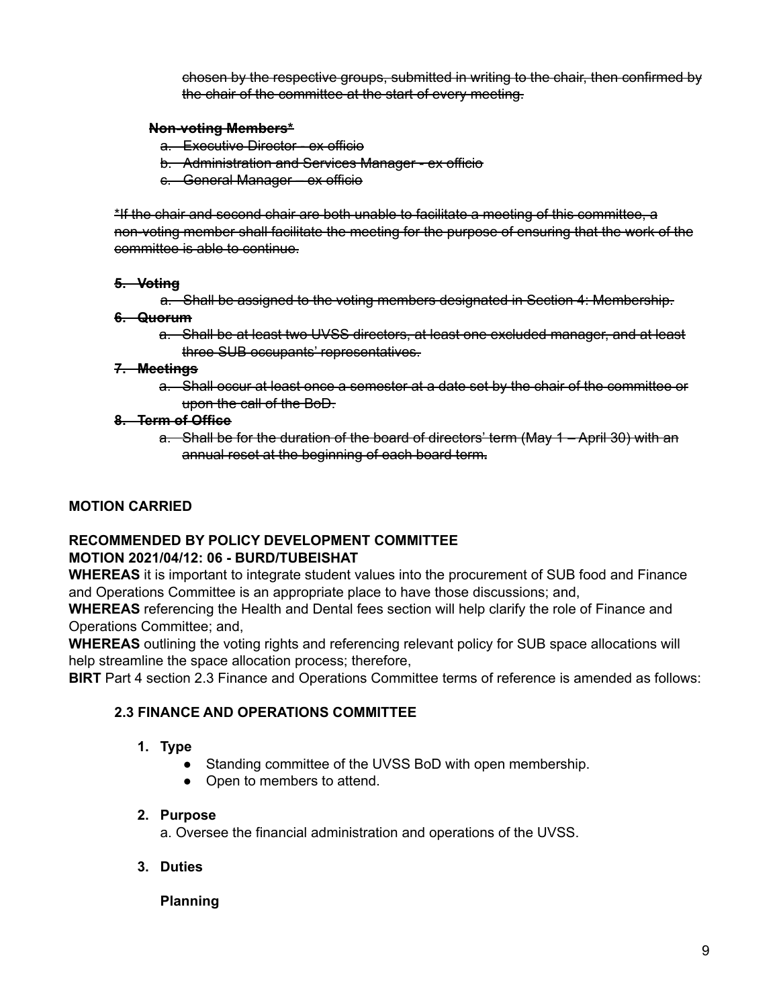chosen by the respective groups, submitted in writing to the chair, then confirmed by the chair of the committee at the start of every meeting.

## **Non-voting Members\***

- a. Executive Director ex officio
- b. Administration and Services Manager ex officio
- c. General Manager ex officio

\*If the chair and second chair are both unable to facilitate a meeting of this committee, a non-voting member shall facilitate the meeting for the purpose of ensuring that the work of the committee is able to continue.

## **5. Voting**

a. Shall be assigned to the voting members designated in Section 4: Membership.

## **6. Quorum**

a. Shall be at least two UVSS directors, at least one excluded manager, and at least three SUB occupants' representatives.

## **7. Meetings**

a. Shall occur at least once a semester at a date set by the chair of the committee or upon the call of the BoD.

## **8. Term of Office**

a. Shall be for the duration of the board of directors' term (May 1 – April 30) with an annual reset at the beginning of each board term**.**

# **MOTION CARRIED**

# **RECOMMENDED BY POLICY DEVELOPMENT COMMITTEE**

## **MOTION 2021/04/12: 06 - BURD/TUBEISHAT**

**WHEREAS** it is important to integrate student values into the procurement of SUB food and Finance and Operations Committee is an appropriate place to have those discussions; and,

**WHEREAS** referencing the Health and Dental fees section will help clarify the role of Finance and Operations Committee; and,

**WHEREAS** outlining the voting rights and referencing relevant policy for SUB space allocations will help streamline the space allocation process; therefore,

**BIRT** Part 4 section 2.3 Finance and Operations Committee terms of reference is amended as follows:

## **2.3 FINANCE AND OPERATIONS COMMITTEE**

## **1. Type**

- Standing committee of the UVSS BoD with open membership.
- Open to members to attend.

## **2. Purpose**

a. Oversee the financial administration and operations of the UVSS.

**3. Duties**

## **Planning**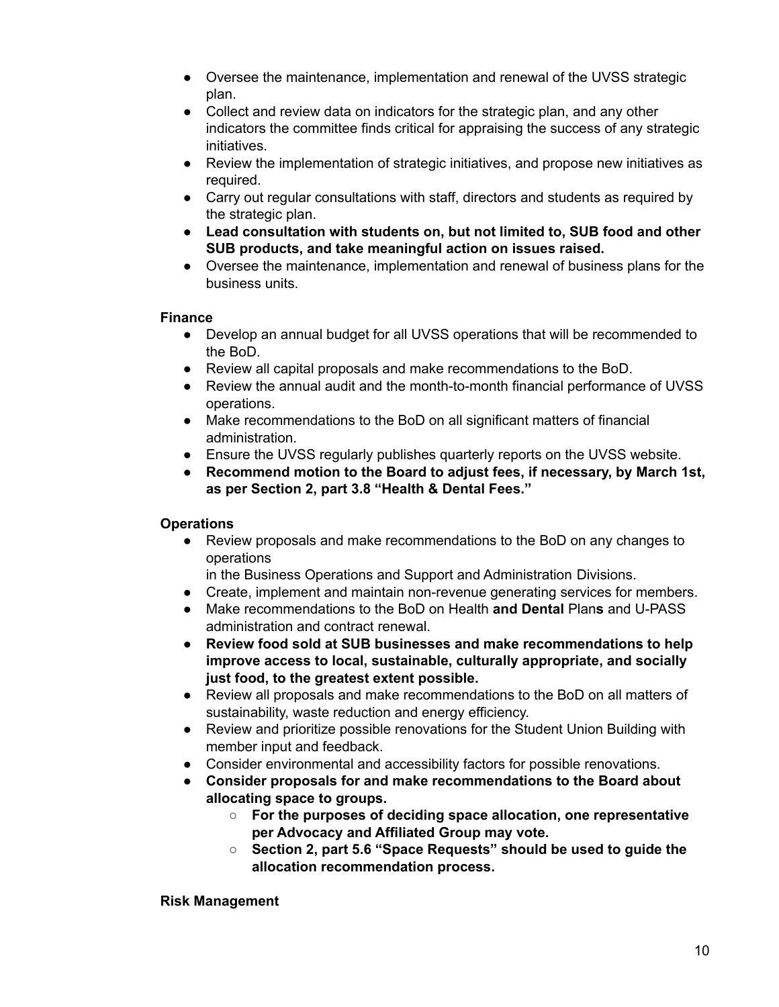- Oversee the maintenance, implementation and renewal of the UVSS strategic plan.
- Collect and review data on indicators for the strategic plan, and any other indicators the committee finds critical for appraising the success of any strategic initiatives.
- Review the implementation of strategic initiatives, and propose new initiatives as required.
- Carry out regular consultations with staff, directors and students as required by the strategic plan.
- **● Lead consultation with students on, but not limited to, SUB food and other SUB products, and take meaningful action on issues raised.**
- **●** Oversee the maintenance, implementation and renewal of business plans for the business units.

## **Finance**

- Develop an annual budget for all UVSS operations that will be recommended to the BoD.
- Review all capital proposals and make recommendations to the BoD.
- Review the annual audit and the month-to-month financial performance of UVSS operations.
- Make recommendations to the BoD on all significant matters of financial administration.
- Ensure the UVSS regularly publishes quarterly reports on the UVSS website.
- **Recommend motion to the Board to adjust fees, if necessary, by March 1st, as per Section 2, part 3.8 "Health & Dental Fees."**

# **Operations**

- Review proposals and make recommendations to the BoD on any changes to operations
	- in the Business Operations and Support and Administration Divisions.
- Create, implement and maintain non-revenue generating services for members.
- Make recommendations to the BoD on Health **and Dental** Plan**s** and U-PASS administration and contract renewal.
- **● Review food sold at SUB businesses and make recommendations to help improve access to local, sustainable, culturally appropriate, and socially just food, to the greatest extent possible.**
- Review all proposals and make recommendations to the BoD on all matters of sustainability, waste reduction and energy efficiency.
- Review and prioritize possible renovations for the Student Union Building with member input and feedback.
- Consider environmental and accessibility factors for possible renovations.
- **● Consider proposals for and make recommendations to the Board about allocating space to groups.**
	- **○ For the purposes of deciding space allocation, one representative per Advocacy and Affiliated Group may vote.**
	- **○ Section 2, part 5.6 "Space Requests" should be used to guide the allocation recommendation process.**

## **Risk Management**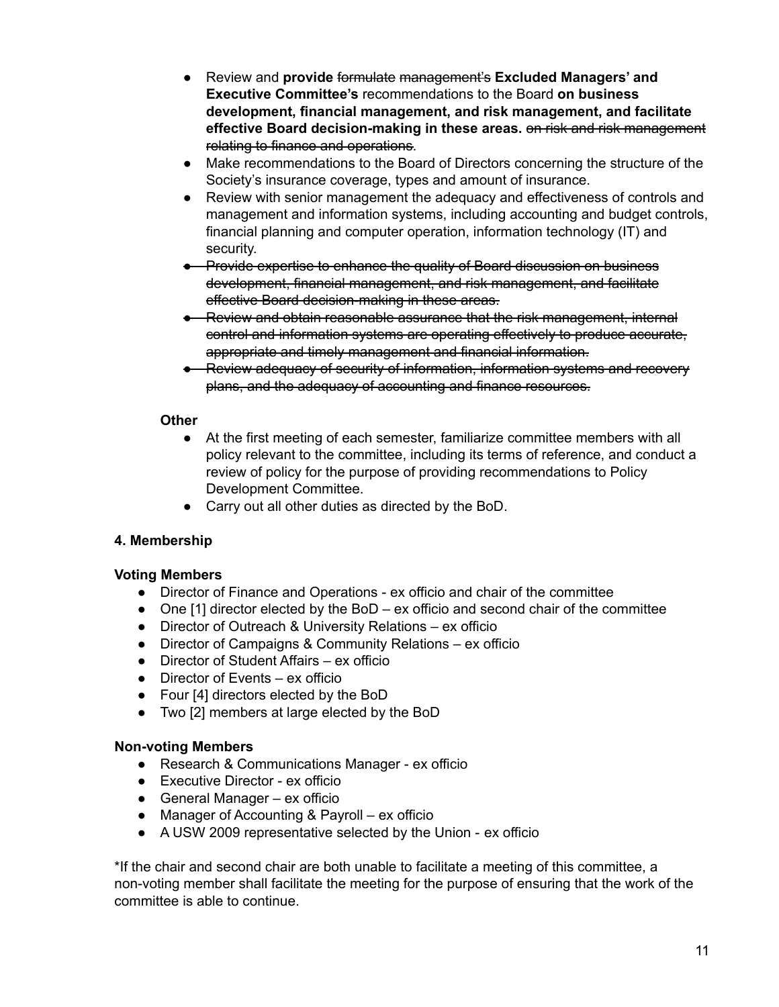- Review and **provide** formulate management's **Excluded Managers' and Executive Committee's** recommendations to the Board **on business development, financial management, and risk management, and facilitate effective Board decision-making in these areas.** on risk and risk management relating to finance and operations.
- Make recommendations to the Board of Directors concerning the structure of the Society's insurance coverage, types and amount of insurance.
- Review with senior management the adequacy and effectiveness of controls and management and information systems, including accounting and budget controls, financial planning and computer operation, information technology (IT) and security.
- Provide expertise to enhance the quality of Board discussion on business development, financial management, and risk management, and facilitate effective Board decision-making in these areas.
- Review and obtain reasonable assurance that the risk management, internal control and information systems are operating effectively to produce accurate, appropriate and timely management and financial information.
- Review adequacy of security of information, information systems and recovery plans, and the adequacy of accounting and finance resources.

## **Other**

- At the first meeting of each semester, familiarize committee members with all policy relevant to the committee, including its terms of reference, and conduct a review of policy for the purpose of providing recommendations to Policy Development Committee.
- Carry out all other duties as directed by the BoD.

# **4. Membership**

# **Voting Members**

- Director of Finance and Operations ex officio and chair of the committee
- One [1] director elected by the BoD ex officio and second chair of the committee
- Director of Outreach & University Relations ex officio
- Director of Campaigns & Community Relations ex officio
- Director of Student Affairs ex officio
- Director of Events ex officio
- Four [4] directors elected by the BoD
- Two [2] members at large elected by the BoD

## **Non-voting Members**

- Research & Communications Manager ex officio
- Executive Director ex officio
- General Manager ex officio
- Manager of Accounting & Payroll ex officio
- A USW 2009 representative selected by the Union ex officio

\*If the chair and second chair are both unable to facilitate a meeting of this committee, a non-voting member shall facilitate the meeting for the purpose of ensuring that the work of the committee is able to continue.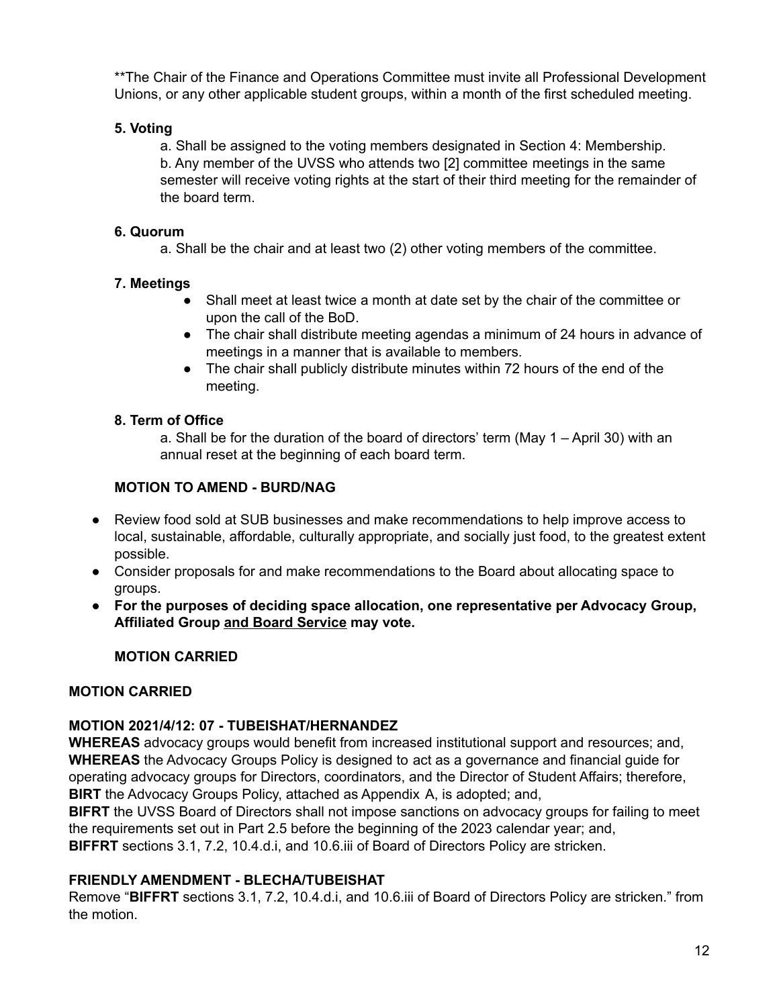\*\*The Chair of the Finance and Operations Committee must invite all Professional Development Unions, or any other applicable student groups, within a month of the first scheduled meeting.

## **5. Voting**

a. Shall be assigned to the voting members designated in Section 4: Membership. b. Any member of the UVSS who attends two [2] committee meetings in the same semester will receive voting rights at the start of their third meeting for the remainder of the board term.

## **6. Quorum**

a. Shall be the chair and at least two (2) other voting members of the committee.

# **7. Meetings**

- Shall meet at least twice a month at date set by the chair of the committee or upon the call of the BoD.
- The chair shall distribute meeting agendas a minimum of 24 hours in advance of meetings in a manner that is available to members.
- The chair shall publicly distribute minutes within 72 hours of the end of the meeting.

# **8. Term of Office**

a. Shall be for the duration of the board of directors' term (May 1 – April 30) with an annual reset at the beginning of each board term.

# **MOTION TO AMEND - BURD/NAG**

- Review food sold at SUB businesses and make recommendations to help improve access to local, sustainable, affordable, culturally appropriate, and socially just food, to the greatest extent possible.
- Consider proposals for and make recommendations to the Board about allocating space to groups.
- **● For the purposes of deciding space allocation, one representative per Advocacy Group, Affiliated Group and Board Service may vote.**

# **MOTION CARRIED**

# **MOTION CARRIED**

# **MOTION 2021/4/12: 07 - TUBEISHAT/HERNANDEZ**

**WHEREAS** advocacy groups would benefit from increased institutional support and resources; and, **WHEREAS** the Advocacy Groups Policy is designed to act as a governance and financial guide for operating advocacy groups for Directors, coordinators, and the Director of Student Affairs; therefore, **BIRT** the Advocacy Groups Policy, attached as Appendix A, is adopted; and,

**BIFRT** the UVSS Board of Directors shall not impose sanctions on advocacy groups for failing to meet the requirements set out in Part 2.5 before the beginning of the 2023 calendar year; and, **BIFFRT** sections 3.1, 7.2, 10.4.d.i, and 10.6.iii of Board of Directors Policy are stricken.

# **FRIENDLY AMENDMENT - BLECHA/TUBEISHAT**

Remove "**BIFFRT** sections 3.1, 7.2, 10.4.d.i, and 10.6.iii of Board of Directors Policy are stricken." from the motion.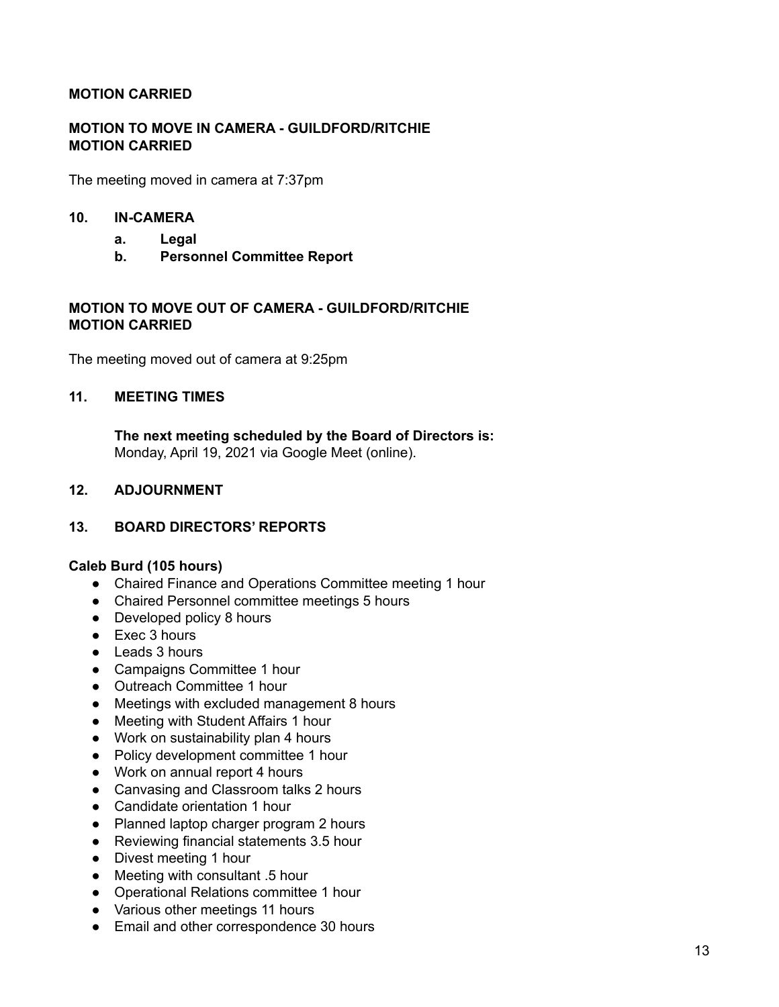## **MOTION CARRIED**

## **MOTION TO MOVE IN CAMERA - GUILDFORD/RITCHIE MOTION CARRIED**

The meeting moved in camera at 7:37pm

#### **10. IN-CAMERA**

- **a. Legal**
- **b. Personnel Committee Report**

## **MOTION TO MOVE OUT OF CAMERA - GUILDFORD/RITCHIE MOTION CARRIED**

The meeting moved out of camera at 9:25pm

#### **11. MEETING TIMES**

**The next meeting scheduled by the Board of Directors is:** Monday, April 19, 2021 via Google Meet (online).

## **12. ADJOURNMENT**

## **13. BOARD DIRECTORS' REPORTS**

#### **Caleb Burd (105 hours)**

- Chaired Finance and Operations Committee meeting 1 hour
- Chaired Personnel committee meetings 5 hours
- Developed policy 8 hours
- Exec 3 hours
- Leads 3 hours
- Campaigns Committee 1 hour
- Outreach Committee 1 hour
- Meetings with excluded management 8 hours
- Meeting with Student Affairs 1 hour
- Work on sustainability plan 4 hours
- Policy development committee 1 hour
- Work on annual report 4 hours
- Canvasing and Classroom talks 2 hours
- Candidate orientation 1 hour
- Planned laptop charger program 2 hours
- Reviewing financial statements 3.5 hour
- Divest meeting 1 hour
- Meeting with consultant .5 hour
- Operational Relations committee 1 hour
- Various other meetings 11 hours
- Email and other correspondence 30 hours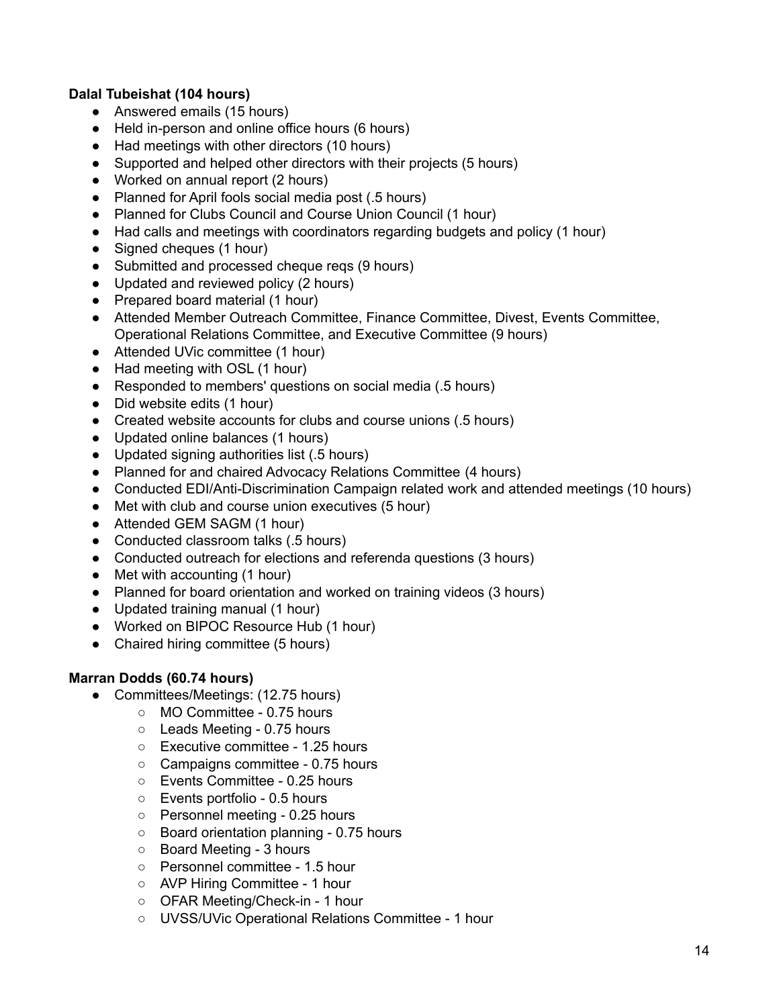# **Dalal Tubeishat (104 hours)**

- Answered emails (15 hours)
- Held in-person and online office hours (6 hours)
- Had meetings with other directors (10 hours)
- Supported and helped other directors with their projects (5 hours)
- Worked on annual report (2 hours)
- Planned for April fools social media post (.5 hours)
- Planned for Clubs Council and Course Union Council (1 hour)
- Had calls and meetings with coordinators regarding budgets and policy (1 hour)
- Signed cheques (1 hour)
- Submitted and processed cheque reqs (9 hours)
- Updated and reviewed policy (2 hours)
- Prepared board material (1 hour)
- Attended Member Outreach Committee, Finance Committee, Divest, Events Committee, Operational Relations Committee, and Executive Committee (9 hours)
- Attended UVic committee (1 hour)
- Had meeting with OSL (1 hour)
- Responded to members' questions on social media (.5 hours)
- Did website edits (1 hour)
- Created website accounts for clubs and course unions (.5 hours)
- Updated online balances (1 hours)
- Updated signing authorities list (.5 hours)
- Planned for and chaired Advocacy Relations Committee (4 hours)
- Conducted EDI/Anti-Discrimination Campaign related work and attended meetings (10 hours)
- Met with club and course union executives (5 hour)
- Attended GEM SAGM (1 hour)
- Conducted classroom talks (.5 hours)
- Conducted outreach for elections and referenda questions (3 hours)
- Met with accounting (1 hour)
- Planned for board orientation and worked on training videos (3 hours)
- Updated training manual (1 hour)
- Worked on BIPOC Resource Hub (1 hour)
- Chaired hiring committee (5 hours)

## **Marran Dodds (60.74 hours)**

- Committees/Meetings: (12.75 hours)
	- MO Committee 0.75 hours
	- Leads Meeting 0.75 hours
	- Executive committee 1.25 hours
	- Campaigns committee 0.75 hours
	- Events Committee 0.25 hours
	- Events portfolio 0.5 hours
	- Personnel meeting 0.25 hours
	- Board orientation planning 0.75 hours
	- Board Meeting 3 hours
	- Personnel committee 1.5 hour
	- AVP Hiring Committee 1 hour
	- OFAR Meeting/Check-in 1 hour
	- UVSS/UVic Operational Relations Committee 1 hour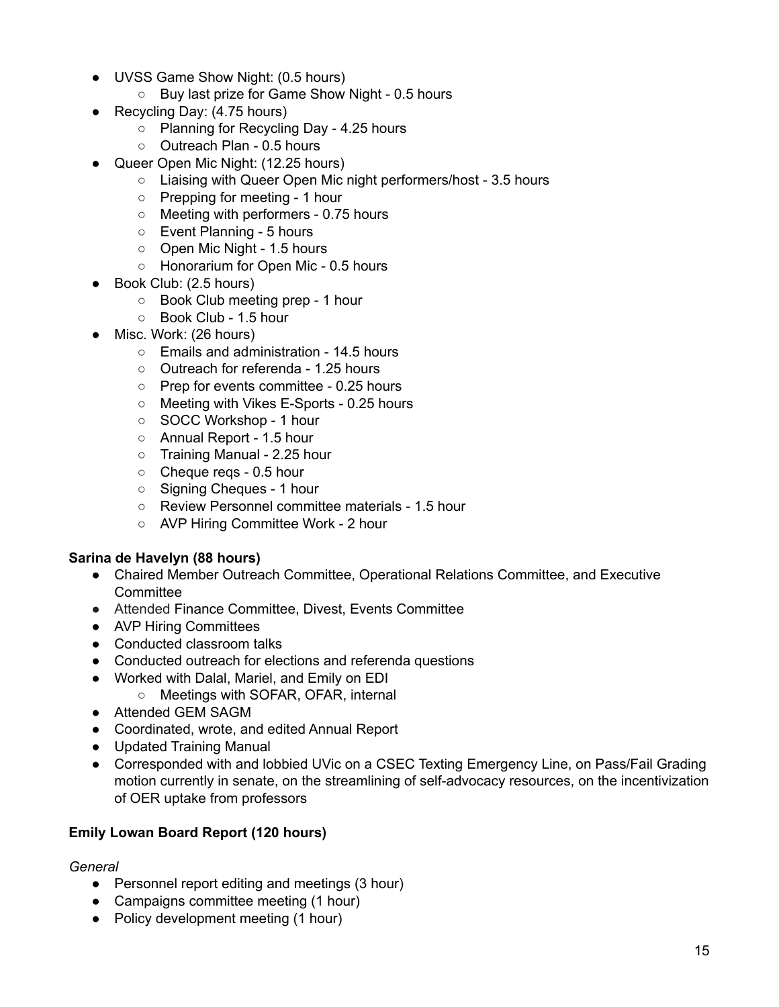- UVSS Game Show Night: (0.5 hours)
	- Buy last prize for Game Show Night 0.5 hours
- Recycling Day: (4.75 hours)
	- Planning for Recycling Day 4.25 hours
	- Outreach Plan 0.5 hours
- Queer Open Mic Night: (12.25 hours)
	- Liaising with Queer Open Mic night performers/host 3.5 hours
	- Prepping for meeting 1 hour
	- Meeting with performers 0.75 hours
	- Event Planning 5 hours
	- Open Mic Night 1.5 hours
	- Honorarium for Open Mic 0.5 hours
- Book Club: (2.5 hours)
	- Book Club meeting prep 1 hour
	- Book Club 1.5 hour
- Misc. Work: (26 hours)
	- Emails and administration 14.5 hours
	- Outreach for referenda 1.25 hours
	- Prep for events committee 0.25 hours
	- Meeting with Vikes E-Sports 0.25 hours
	- SOCC Workshop 1 hour
	- Annual Report 1.5 hour
	- Training Manual 2.25 hour
	- Cheque reqs 0.5 hour
	- Signing Cheques 1 hour
	- Review Personnel committee materials 1.5 hour
	- AVP Hiring Committee Work 2 hour

## **Sarina de Havelyn (88 hours)**

- Chaired Member Outreach Committee, Operational Relations Committee, and Executive **Committee**
- **●** Attended Finance Committee, Divest, Events Committee
- AVP Hiring Committees
- Conducted classroom talks
- Conducted outreach for elections and referenda questions
- Worked with Dalal, Mariel, and Emily on EDI
	- Meetings with SOFAR, OFAR, internal
- Attended GEM SAGM
- Coordinated, wrote, and edited Annual Report
- Updated Training Manual
- Corresponded with and lobbied UVic on a CSEC Texting Emergency Line, on Pass/Fail Grading motion currently in senate, on the streamlining of self-advocacy resources, on the incentivization of OER uptake from professors

## **Emily Lowan Board Report (120 hours)**

## *General*

- Personnel report editing and meetings (3 hour)
- Campaigns committee meeting (1 hour)
- Policy development meeting (1 hour)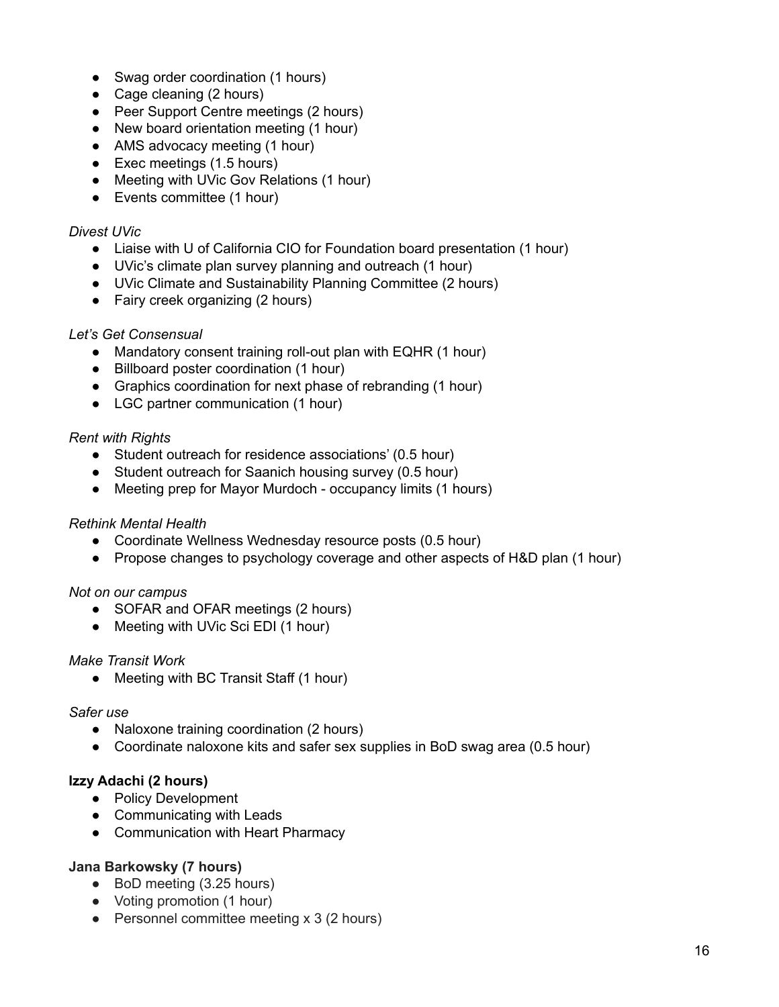- Swag order coordination (1 hours)
- Cage cleaning (2 hours)
- Peer Support Centre meetings (2 hours)
- New board orientation meeting (1 hour)
- AMS advocacy meeting (1 hour)
- Exec meetings (1.5 hours)
- Meeting with UVic Gov Relations (1 hour)
- Events committee (1 hour)

#### *Divest UVic*

- Liaise with U of California CIO for Foundation board presentation (1 hour)
- UVic's climate plan survey planning and outreach (1 hour)
- UVic Climate and Sustainability Planning Committee (2 hours)
- Fairy creek organizing (2 hours)

## *Let's Get Consensual*

- Mandatory consent training roll-out plan with EQHR (1 hour)
- Billboard poster coordination (1 hour)
- Graphics coordination for next phase of rebranding (1 hour)
- LGC partner communication (1 hour)

## *Rent with Rights*

- Student outreach for residence associations' (0.5 hour)
- Student outreach for Saanich housing survey (0.5 hour)
- Meeting prep for Mayor Murdoch occupancy limits (1 hours)

## *Rethink Mental Health*

- Coordinate Wellness Wednesday resource posts (0.5 hour)
- Propose changes to psychology coverage and other aspects of H&D plan (1 hour)

## *Not on our campus*

- SOFAR and OFAR meetings (2 hours)
- Meeting with UVic Sci EDI (1 hour)

## *Make Transit Work*

• Meeting with BC Transit Staff (1 hour)

#### *Safer use*

- Naloxone training coordination (2 hours)
- Coordinate naloxone kits and safer sex supplies in BoD swag area (0.5 hour)

## **Izzy Adachi (2 hours)**

- Policy Development
- Communicating with Leads
- Communication with Heart Pharmacy

## **Jana Barkowsky (7 hours)**

- BoD meeting (3.25 hours)
- Voting promotion (1 hour)
- Personnel committee meeting x 3 (2 hours)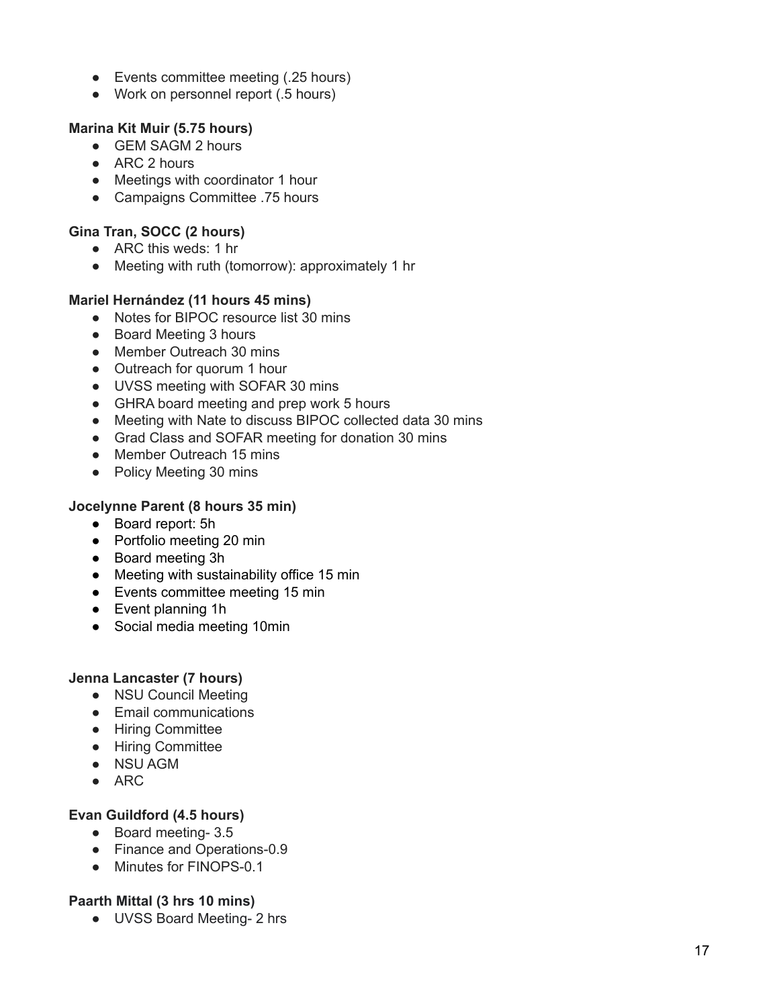- Events committee meeting (.25 hours)
- Work on personnel report (.5 hours)

## **Marina Kit Muir (5.75 hours)**

- GEM SAGM 2 hours
- ARC 2 hours
- Meetings with coordinator 1 hour
- Campaigns Committee .75 hours

# **Gina Tran, SOCC (2 hours)**

- ARC this weds: 1 hr
- Meeting with ruth (tomorrow): approximately 1 hr

# **Mariel Hernández (11 hours 45 mins)**

- Notes for BIPOC resource list 30 mins
- Board Meeting 3 hours
- Member Outreach 30 mins
- Outreach for quorum 1 hour
- UVSS meeting with SOFAR 30 mins
- GHRA board meeting and prep work 5 hours
- Meeting with Nate to discuss BIPOC collected data 30 mins
- Grad Class and SOFAR meeting for donation 30 mins
- Member Outreach 15 mins
- Policy Meeting 30 mins

## **Jocelynne Parent (8 hours 35 min)**

- Board report: 5h
- Portfolio meeting 20 min
- Board meeting 3h
- Meeting with sustainability office 15 min
- Events committee meeting 15 min
- Event planning 1h
- Social media meeting 10min

## **Jenna Lancaster (7 hours)**

- NSU Council Meeting
- Email communications
- Hiring Committee
- Hiring Committee
- NSU AGM
- ARC

# **Evan Guildford (4.5 hours)**

- Board meeting- 3.5
- Finance and Operations-0.9
- Minutes for FINOPS-0.1

## **Paarth Mittal (3 hrs 10 mins)**

● UVSS Board Meeting- 2 hrs